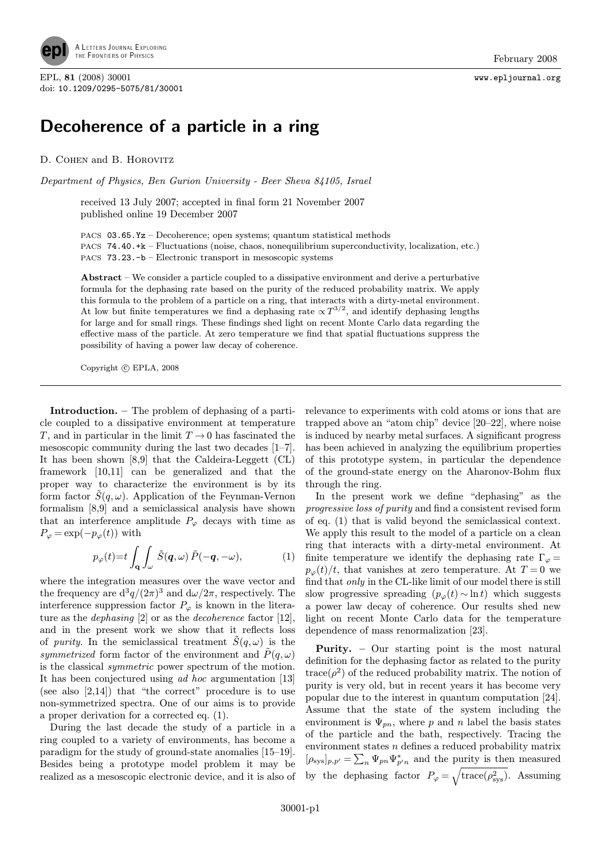

EPL, 81 (2008) 30001 www.epljournal.org doi: 10.1209/0295-5075/81/30001

## Decoherence of a particle in a ring

D. COHEN and B. HOROVITZ

Department of Physics, Ben Gurion University - Beer Sheva 84105, Israel

received 13 July 2007; accepted in final form 21 November 2007 published online 19 December 2007

PACS 03.65.Yz – Decoherence; open systems; quantum statistical methods PACS 74.40.+k – Fluctuations (noise, chaos, nonequilibrium superconductivity, localization, etc.) PACS 73.23.-b – Electronic transport in mesoscopic systems

Abstract – We consider a particle coupled to a dissipative environment and derive a perturbative formula for the dephasing rate based on the purity of the reduced probability matrix. We apply this formula to the problem of a particle on a ring, that interacts with a dirty-metal environment. At low but finite temperatures we find a dephasing rate  $\propto T^{3/2}$ , and identify dephasing lengths for large and for small rings. These findings shed light on recent Monte Carlo data regarding the effective mass of the particle. At zero temperature we find that spatial fluctuations suppress the possibility of having a power law decay of coherence.

Copyright  $\odot$  EPLA, 2008

Introduction. – The problem of dephasing of a particle coupled to a dissipative environment at temperature T, and in particular in the limit  $T \to 0$  has fascinated the mesoscopic community during the last two decades [1–7]. It has been shown [8,9] that the Caldeira-Leggett (CL) framework [10,11] can be generalized and that the proper way to characterize the environment is by its form factor  $\tilde{S}(q,\omega)$ . Application of the Feynman-Vernon formalism [8,9] and a semiclassical analysis have shown that an interference amplitude  $P_{\varphi}$  decays with time as  $P_{\varphi} = \exp(-p_{\varphi}(t))$  with

$$
p_{\varphi}(t) = t \int_{\mathbf{q}} \int_{\omega} \tilde{S}(\mathbf{q}, \omega) \, \tilde{P}(-\mathbf{q}, -\omega), \tag{1}
$$

where the integration measures over the wave vector and the frequency are  $d^3q/(2\pi)^3$  and  $d\omega/2\pi$ , respectively. The interference suppression factor  $P_{\varphi}$  is known in the literature as the *dephasing* [2] or as the *decoherence* factor [12], and in the present work we show that it reflects loss of purity. In the semiclassical treatment  $\tilde{S}(q,\omega)$  is the symmetrized form factor of the environment and  $\tilde{P}(q,\omega)$ is the classical symmetric power spectrum of the motion. It has been conjectured using ad hoc argumentation [13] (see also  $[2,14]$ ) that "the correct" procedure is to use non-symmetrized spectra. One of our aims is to provide a proper derivation for a corrected eq. (1).

During the last decade the study of a particle in a ring coupled to a variety of environments, has become a paradigm for the study of ground-state anomalies [15–19]. Besides being a prototype model problem it may be realized as a mesoscopic electronic device, and it is also of

relevance to experiments with cold atoms or ions that are trapped above an "atom chip" device [20–22], where noise is induced by nearby metal surfaces. A significant progress has been achieved in analyzing the equilibrium properties of this prototype system, in particular the dependence of the ground-state energy on the Aharonov-Bohm flux through the ring.

In the present work we define "dephasing" as the progressive loss of purity and find a consistent revised form of eq. (1) that is valid beyond the semiclassical context. We apply this result to the model of a particle on a clean ring that interacts with a dirty-metal environment. At finite temperature we identify the dephasing rate  $\Gamma_{\varphi} =$  $p_{\varphi}(t)/t$ , that vanishes at zero temperature. At  $T=0$  we find that only in the CL-like limit of our model there is still slow progressive spreading  $(p_{\varphi}(t) \sim \ln t)$  which suggests a power law decay of coherence. Our results shed new light on recent Monte Carlo data for the temperature dependence of mass renormalization [23].

Purity. – Our starting point is the most natural definition for the dephasing factor as related to the purity  $trace(\rho^2)$  of the reduced probability matrix. The notion of purity is very old, but in recent years it has become very popular due to the interest in quantum computation [24]. Assume that the state of the system including the environment is  $\Psi_{nn}$ , where p and n label the basis states of the particle and the bath, respectively. Tracing the environment states n defines a reduced probability matrix  $[\rho_{sys}]_{p,p'} = \sum_n \Psi_{pn} \Psi_{p'n}^*$  and the purity is then measured by the dephasing factor  $P_{\varphi} = \sqrt{\text{trace}(\rho_{\text{sys}}^2)}$ . Assuming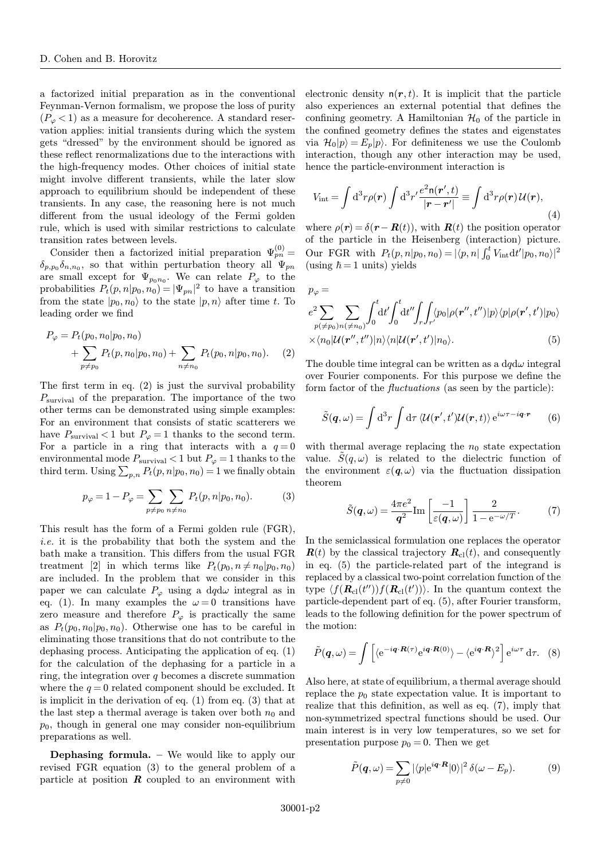a factorized initial preparation as in the conventional Feynman-Vernon formalism, we propose the loss of purity  $(P_{\varphi} < 1)$  as a measure for decoherence. A standard reservation applies: initial transients during which the system gets "dressed" by the environment should be ignored as these reflect renormalizations due to the interactions with the high-frequency modes. Other choices of initial state might involve different transients, while the later slow approach to equilibrium should be independent of these transients. In any case, the reasoning here is not much different from the usual ideology of the Fermi golden rule, which is used with similar restrictions to calculate transition rates between levels.

Consider then a factorized initial preparation  $\Psi_{pn}^{(0)} =$  $\delta_{p,p_0}\delta_{n,n_0}$ , so that within perturbation theory all  $\Psi_{pn}$ are small except for  $\Psi_{p_0n_0}$ . We can relate  $P_\varphi$  to the probabilities  $P_t(p, n|p_0, n_0) = |\Psi_{pn}|^2$  to have a transition from the state  $|p_0, n_0\rangle$  to the state  $|p, n\rangle$  after time t. To leading order we find

$$
P_{\varphi} = P_t(p_0, n_0 | p_0, n_0) + \sum_{p \neq p_0} P_t(p, n_0 | p_0, n_0) + \sum_{n \neq n_0} P_t(p_0, n | p_0, n_0).
$$
 (2)

The first term in eq. (2) is just the survival probability  $P_{\text{survival}}$  of the preparation. The importance of the two other terms can be demonstrated using simple examples: For an environment that consists of static scatterers we have  $P_{\text{survival}} < 1$  but  $P_{\varphi} = 1$  thanks to the second term. For a particle in a ring that interacts with a  $q=0$ environmental mode  $P_{\text{survival}} < 1$  but  $P_{\varphi} = 1$  thanks to the third term. Using  $\sum_{p,n} P_t(p,n|p_0,n_0) = 1$  we finally obtain

$$
p_{\varphi} = 1 - P_{\varphi} = \sum_{p \neq p_0} \sum_{n \neq n_0} P_t(p, n | p_0, n_0).
$$
 (3)

This result has the form of a Fermi golden rule (FGR), i.e. it is the probability that both the system and the bath make a transition. This differs from the usual FGR treatment [2] in which terms like  $P_t(p_0, n \neq n_0|p_0, n_0)$ are included. In the problem that we consider in this paper we can calculate  $P_{\varphi}$  using a dqd $\omega$  integral as in eq. (1). In many examples the  $\omega = 0$  transitions have zero measure and therefore  $P_{\varphi}$  is practically the same as  $P_t(p_0, n_0|p_0, n_0)$ . Otherwise one has to be careful in eliminating those transitions that do not contribute to the dephasing process. Anticipating the application of eq. (1) for the calculation of the dephasing for a particle in a ring, the integration over  $q$  becomes a discrete summation where the  $q = 0$  related component should be excluded. It is implicit in the derivation of eq. (1) from eq. (3) that at the last step a thermal average is taken over both  $n_0$  and  $p_0$ , though in general one may consider non-equilibrium preparations as well.

Dephasing formula. – We would like to apply our revised FGR equation (3) to the general problem of a particle at position  $\boldsymbol{R}$  coupled to an environment with electronic density  $n(r, t)$ . It is implicit that the particle also experiences an external potential that defines the confining geometry. A Hamiltonian  $\mathcal{H}_0$  of the particle in the confined geometry defines the states and eigenstates via  $\mathcal{H}_0|p\rangle = E_n|p\rangle$ . For definiteness we use the Coulomb interaction, though any other interaction may be used, hence the particle-environment interaction is

$$
V_{\rm int} = \int d^3r \rho(\mathbf{r}) \int d^3r' \frac{e^2 \mathsf{n}(\mathbf{r}',t)}{|\mathbf{r} - \mathbf{r}'|} \equiv \int d^3r \rho(\mathbf{r}) \mathcal{U}(\mathbf{r}),\tag{4}
$$

where  $\rho(\mathbf{r}) = \delta(\mathbf{r} - \mathbf{R}(t))$ , with  $\mathbf{R}(t)$  the position operator of the particle in the Heisenberg (interaction) picture. Our FGR with  $P_t(p, n|p_0, n_0) = |\langle p, n | \int_0^t V_{int} dt' |p_0, n_0 \rangle|^2$ (using  $\hbar = 1$  units) yields

$$
p_{\varphi} =
$$
  
\n
$$
e^{2} \sum_{p(\neq p_{0})} \sum_{n(\neq n_{0})} \int_{0}^{t} dt' \int_{0}^{t} dt'' \int_{r} \int_{r'} \langle p_{0} | \rho(\mathbf{r}'', t'') | p \rangle \langle p | \rho(\mathbf{r}', t') | p_{0} \rangle
$$
  
\n
$$
\times \langle n_{0} | \mathcal{U}(\mathbf{r}'', t'') | n \rangle \langle n | \mathcal{U}(\mathbf{r}', t') | n_{0} \rangle.
$$
 (5)

The double time integral can be written as a  $dqd\omega$  integral over Fourier components. For this purpose we define the form factor of the fluctuations (as seen by the particle):

$$
\tilde{S}(\boldsymbol{q},\omega) = \int d^3r \int d\tau \, \langle \mathcal{U}(\boldsymbol{r}',t')\mathcal{U}(\boldsymbol{r},t) \rangle e^{i\omega\tau - i\boldsymbol{q}\cdot\boldsymbol{r}} \qquad (6)
$$

with thermal average replacing the  $n_0$  state expectation value.  $S(q,\omega)$  is related to the dielectric function of the environment  $\varepsilon(\mathbf{q},\omega)$  via the fluctuation dissipation theorem

$$
\tilde{S}(\boldsymbol{q},\omega) = \frac{4\pi e^2}{\boldsymbol{q}^2} \text{Im}\left[\frac{-1}{\varepsilon(\boldsymbol{q},\omega)}\right] \frac{2}{1 - e^{-\omega/T}}.\tag{7}
$$

In the semiclassical formulation one replaces the operator  $\mathbf{R}(t)$  by the classical trajectory  $\mathbf{R}_{\text{cl}}(t)$ , and consequently in eq. (5) the particle-related part of the integrand is replaced by a classical two-point correlation function of the type  $\langle f(\mathbf{R}_{\text{cl}}(t'))f(\mathbf{R}_{\text{cl}}(t'))\rangle$ . In the quantum context the particle-dependent part of eq. (5), after Fourier transform, leads to the following definition for the power spectrum of the motion:

$$
\tilde{P}(\boldsymbol{q},\omega) = \int \left[ \langle e^{-i\boldsymbol{q} \cdot \boldsymbol{R}(\tau)} e^{i\boldsymbol{q} \cdot \boldsymbol{R}(0)} \rangle - \langle e^{i\boldsymbol{q} \cdot \boldsymbol{R}} \rangle^2 \right] e^{i\omega \tau} d\tau. \quad (8)
$$

Also here, at state of equilibrium, a thermal average should replace the  $p_0$  state expectation value. It is important to realize that this definition, as well as eq. (7), imply that non-symmetrized spectral functions should be used. Our main interest is in very low temperatures, so we set for presentation purpose  $p_0 = 0$ . Then we get

$$
\tilde{P}(\boldsymbol{q},\omega) = \sum_{p \neq 0} |\langle p|e^{i\boldsymbol{q} \cdot \boldsymbol{R}}|0\rangle|^2 \,\delta(\omega - E_p). \tag{9}
$$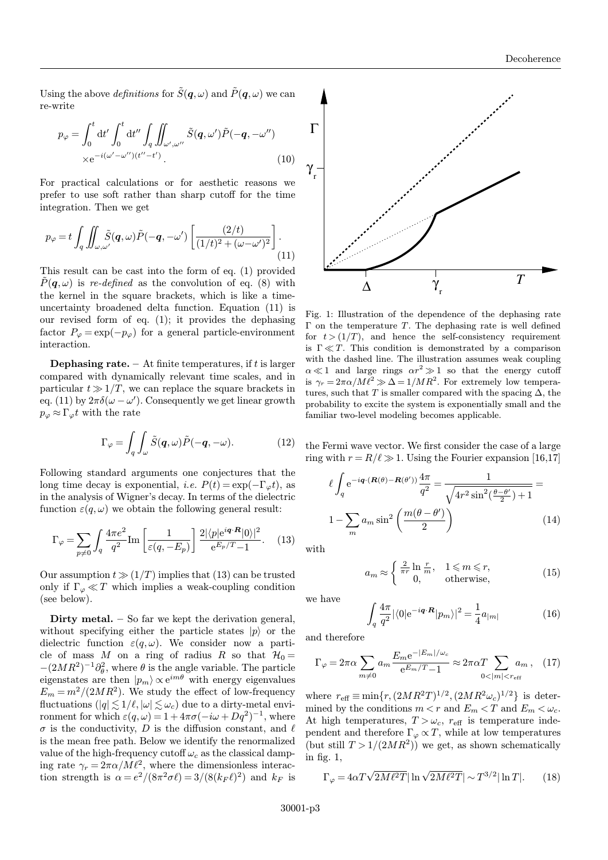Using the above definitions for  $\tilde{S}(\boldsymbol{q}, \omega)$  and  $\tilde{P}(\boldsymbol{q}, \omega)$  we can re-write

$$
p_{\varphi} = \int_0^t dt' \int_0^t dt'' \int_q \iint_{\omega',\omega''} \tilde{S}(\boldsymbol{q}, \omega') \tilde{P}(-\boldsymbol{q}, -\omega'')
$$
  
×e<sup>-i(\omega'-\omega'')(t''-t'). (10)</sup>

For practical calculations or for aesthetic reasons we prefer to use soft rather than sharp cutoff for the time integration. Then we get

$$
p_{\varphi} = t \int_{q} \iint_{\omega,\omega'} \tilde{S}(q,\omega) \tilde{P}(-q,-\omega') \left[ \frac{(2/t)}{(1/t)^{2} + (\omega - \omega')^{2}} \right].
$$
\n(11)

This result can be cast into the form of eq. (1) provided  $P(q,\omega)$  is re-defined as the convolution of eq. (8) with the kernel in the square brackets, which is like a timeuncertainty broadened delta function. Equation (11) is our revised form of eq. (1); it provides the dephasing factor  $P_{\varphi} = \exp(-p_{\varphi})$  for a general particle-environment interaction.

**Dephasing rate.** – At finite temperatures, if  $t$  is larger compared with dynamically relevant time scales, and in particular  $t \gg 1/T$ , we can replace the square brackets in eq. (11) by  $2\pi\delta(\omega-\omega')$ . Consequently we get linear growth  $p_{\varphi} \approx \Gamma_{\varphi} t$  with the rate

$$
\Gamma_{\varphi} = \int_{q} \int_{\omega} \tilde{S}(q, \omega) \tilde{P}(-q, -\omega). \tag{12}
$$

Following standard arguments one conjectures that the long time decay is exponential, *i.e.*  $P(t) = \exp(-\Gamma_{\varphi}t)$ , as in the analysis of Wigner's decay. In terms of the dielectric function  $\varepsilon(q,\omega)$  we obtain the following general result:

$$
\Gamma_{\varphi} = \sum_{p \neq 0} \int_{q} \frac{4\pi e^2}{q^2} \text{Im} \left[ \frac{1}{\varepsilon(q, -E_p)} \right] \frac{2|\langle p| e^{i\mathbf{q} \cdot \mathbf{R}} |0 \rangle|^2}{e^{E_p/T} - 1} . \quad (13)
$$

Our assumption  $t \gg (1/T)$  implies that (13) can be trusted only if  $\Gamma_{\varphi} \ll T$  which implies a weak-coupling condition (see below).

Dirty metal.  $-$  So far we kept the derivation general, without specifying either the particle states  $|p\rangle$  or the dielectric function  $\varepsilon(q,\omega)$ . We consider now a particle of mass M on a ring of radius R so that  $\mathcal{H}_0 =$  $-(2MR^2)^{-1}\partial_{\theta}^2$ , where  $\theta$  is the angle variable. The particle eigenstates are then  $|p_m\rangle \propto e^{im\theta}$  with energy eigenvalues  $E_m = m^2/(2MR^2)$ . We study the effect of low-frequency fluctuations  $(|q| \lesssim 1/\ell, |\omega| \lesssim \omega_c)$  due to a dirty-metal environment for which  $\varepsilon(q,\omega) = 1 + 4\pi\sigma(-i\omega + Dq^2)^{-1}$ , where  $\sigma$  is the conductivity, D is the diffusion constant, and  $\ell$ is the mean free path. Below we identify the renormalized value of the high-frequency cutoff  $\omega_c$  as the classical damping rate  $\gamma_r = 2\pi\alpha/M\ell^2$ , where the dimensionless interaction strength is  $\alpha = e^2/(8\pi^2\sigma\ell) = 3/(8(k_F\ell)^2)$  and  $k_F$  is



Fig. 1: Illustration of the dependence of the dephasing rate  $\Gamma$  on the temperature T. The dephasing rate is well defined for  $t > (1/T)$ , and hence the self-consistency requirement is  $\Gamma \ll T$ . This condition is demonstrated by a comparison with the dashed line. The illustration assumes weak coupling  $\alpha \ll 1$  and large rings  $\alpha r^2 \gg 1$  so that the energy cutoff is  $\gamma_r = 2\pi\alpha/M\ell^2 \gg \Delta = 1/MR^2$ . For extremely low temperatures, such that T is smaller compared with the spacing  $\Delta$ , the probability to excite the system is exponentially small and the familiar two-level modeling becomes applicable.

the Fermi wave vector. We first consider the case of a large ring with  $r = R/\ell \gg 1$ . Using the Fourier expansion [16,17]

$$
\ell \int_{q} e^{-i\mathbf{q} \cdot (\mathbf{R}(\theta) - \mathbf{R}(\theta'))} \frac{4\pi}{q^2} = \frac{1}{\sqrt{4r^2 \sin^2(\frac{\theta - \theta'}{2}) + 1}} =
$$
  

$$
1 - \sum_{m} a_m \sin^2\left(\frac{m(\theta - \theta')}{2}\right)
$$
(14)

with

$$
a_m \approx \begin{cases} \frac{2}{\pi r} \ln \frac{r}{m}, & 1 \leq m \leq r, \\ 0, & \text{otherwise,} \end{cases}
$$
 (15)

we have

$$
\int_{q} \frac{4\pi}{q^2} |\langle 0| e^{-i\mathbf{q} \cdot \mathbf{R}} |p_m \rangle|^2 = \frac{1}{4} a_{|m|}
$$
 (16)

and therefore

$$
\Gamma_{\varphi} = 2\pi\alpha \sum_{m \neq 0} a_m \frac{E_m e^{-|E_m|/\omega_c}}{e^{E_m/T} - 1} \approx 2\pi\alpha T \sum_{0 < |m| < r_{\text{eff}}} a_m \,,\tag{17}
$$

where  $r_{\text{eff}} \equiv \min\{r, (2MR^2T)^{1/2}, (2MR^2\omega_c)^{1/2}\}\$ is determined by the conditions  $m < r$  and  $E_m < T$  and  $E_m < \omega_c$ . At high temperatures,  $T > \omega_c$ ,  $r_{\text{eff}}$  is temperature independent and therefore  $\Gamma_{\varphi} \propto T$ , while at low temperatures (but still  $T > 1/(2MR^2)$ ) we get, as shown schematically in fig. 1,

$$
\Gamma_{\varphi} = 4\alpha T \sqrt{2M\ell^2 T} |\ln \sqrt{2M\ell^2 T}| \sim T^{3/2} |\ln T|.
$$
 (18)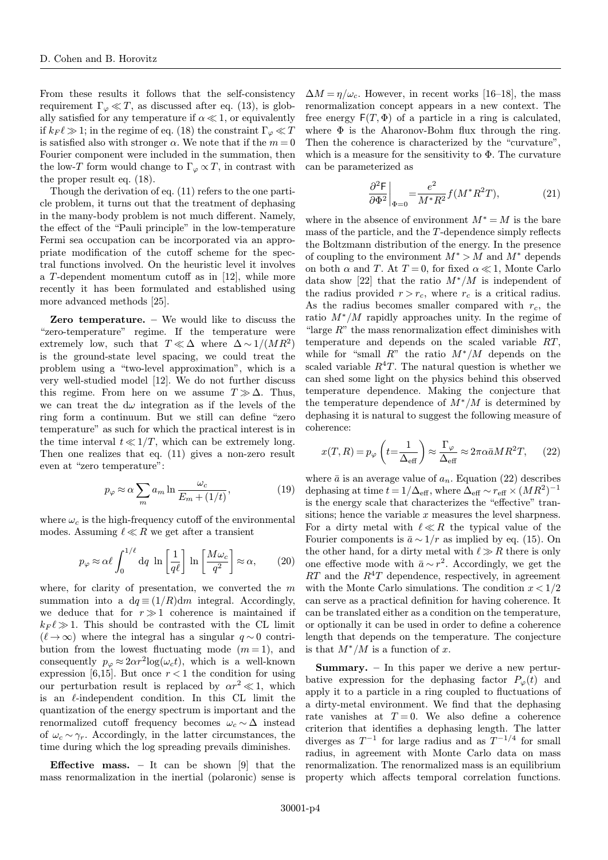From these results it follows that the self-consistency requirement  $\Gamma_{\varphi} \ll T$ , as discussed after eq. (13), is globally satisfied for any temperature if  $\alpha \ll 1$ , or equivalently if  $k_F \ell \gg 1$ ; in the regime of eq. (18) the constraint  $\Gamma_\omega \ll T$ is satisfied also with stronger  $\alpha$ . We note that if the  $m = 0$ Fourier component were included in the summation, then the low-T form would change to  $\Gamma_{\varphi} \propto T$ , in contrast with the proper result eq. (18).

Though the derivation of eq. (11) refers to the one particle problem, it turns out that the treatment of dephasing in the many-body problem is not much different. Namely, the effect of the "Pauli principle" in the low-temperature Fermi sea occupation can be incorporated via an appropriate modification of the cutoff scheme for the spectral functions involved. On the heuristic level it involves a T-dependent momentum cutoff as in [12], while more recently it has been formulated and established using more advanced methods [25].

Zero temperature. – We would like to discuss the "zero-temperature" regime. If the temperature were extremely low, such that  $T \ll \Delta$  where  $\Delta \sim 1/(MR^2)$ is the ground-state level spacing, we could treat the problem using a "two-level approximation", which is a very well-studied model [12]. We do not further discuss this regime. From here on we assume  $T \gg \Delta$ . Thus, we can treat the  $d\omega$  integration as if the levels of the ring form a continuum. But we still can define "zero temperature" as such for which the practical interest is in the time interval  $t \ll 1/T$ , which can be extremely long. Then one realizes that eq. (11) gives a non-zero result even at "zero temperature":

$$
p_{\varphi} \approx \alpha \sum_{m} a_{m} \ln \frac{\omega_{c}}{E_{m} + (1/t)},
$$
\n(19)

where  $\omega_c$  is the high-frequency cutoff of the environmental modes. Assuming  $\ell \ll R$  we get after a transient

$$
p_{\varphi} \approx \alpha \ell \int_0^{1/\ell} dq \ln \left[ \frac{1}{q\ell} \right] \ln \left[ \frac{M\omega_c}{q^2} \right] \approx \alpha, \qquad (20)
$$

where, for clarity of presentation, we converted the  $m$ summation into a  $dq \equiv (1/R)dm$  integral. Accordingly, we deduce that for  $r \gg 1$  coherence is maintained if  $k_F \ell \gg 1$ . This should be contrasted with the CL limit  $(\ell \to \infty)$  where the integral has a singular  $q \sim 0$  contribution from the lowest fluctuating mode  $(m=1)$ , and consequently  $p_{\varphi} \approx 2\alpha r^2 \log(\omega_c t)$ , which is a well-known expression [6,15]. But once  $r < 1$  the condition for using our perturbation result is replaced by  $\alpha r^2 \ll 1$ , which is an  $\ell$ -independent condition. In this CL limit the quantization of the energy spectrum is important and the renormalized cutoff frequency becomes  $\omega_c \sim \Delta$  instead of  $\omega_c \sim \gamma_r$ . Accordingly, in the latter circumstances, the time during which the log spreading prevails diminishes.

**Effective mass.** – It can be shown [9] that the mass renormalization in the inertial (polaronic) sense is

 $\Delta M = \eta/\omega_c$ . However, in recent works [16–18], the mass renormalization concept appears in a new context. The free energy  $F(T, \Phi)$  of a particle in a ring is calculated, where  $\Phi$  is the Aharonov-Bohm flux through the ring. Then the coherence is characterized by the "curvature", which is a measure for the sensitivity to  $\Phi$ . The curvature can be parameterized as

$$
\left. \frac{\partial^2 \mathsf{F}}{\partial \Phi^2} \right|_{\Phi=0} = \frac{e^2}{M^* R^2} f(M^* R^2 T),\tag{21}
$$

where in the absence of environment  $M^* = M$  is the bare mass of the particle, and the T-dependence simply reflects the Boltzmann distribution of the energy. In the presence of coupling to the environment  $M^* > M$  and  $M^*$  depends on both  $\alpha$  and T. At  $T = 0$ , for fixed  $\alpha \ll 1$ , Monte Carlo data show [22] that the ratio  $M^*/M$  is independent of the radius provided  $r>r_c$ , where  $r_c$  is a critical radius. As the radius becomes smaller compared with  $r_c$ , the ratio M∗/M rapidly approaches unity. In the regime of "large  $R$ " the mass renormalization effect diminishes with temperature and depends on the scaled variable RT, while for "small  $R$ " the ratio  $M^*/M$  depends on the scaled variable  $R^4T$ . The natural question is whether we can shed some light on the physics behind this observed temperature dependence. Making the conjecture that the temperature dependence of  $M^*/M$  is determined by dephasing it is natural to suggest the following measure of coherence:

$$
x(T, R) = p_{\varphi} \left( t = \frac{1}{\Delta_{\text{eff}}} \right) \approx \frac{\Gamma_{\varphi}}{\Delta_{\text{eff}}} \approx 2\pi \alpha \bar{a} M R^2 T, \qquad (22)
$$

where  $\bar{a}$  is an average value of  $a_n$ . Equation (22) describes dephasing at time  $t = 1/\Delta_{\text{eff}}$ , where  $\Delta_{\text{eff}} \sim r_{\text{eff}} \times (MR^2)^{-1}$ is the energy scale that characterizes the "effective" transitions; hence the variable  $x$  measures the level sharpness. For a dirty metal with  $\ell \ll R$  the typical value of the Fourier components is  $\bar{a} \sim 1/r$  as implied by eq. (15). On the other hand, for a dirty metal with  $\ell \gg R$  there is only one effective mode with  $\bar{a} \sim r^2$ . Accordingly, we get the  $RT$  and the  $R^4T$  dependence, respectively, in agreement with the Monte Carlo simulations. The condition  $x < 1/2$ can serve as a practical definition for having coherence. It can be translated either as a condition on the temperature, or optionally it can be used in order to define a coherence length that depends on the temperature. The conjecture is that  $M^*/M$  is a function of x.

**Summary.**  $-$  In this paper we derive a new perturbative expression for the dephasing factor  $P_{\varphi}(t)$  and apply it to a particle in a ring coupled to fluctuations of a dirty-metal environment. We find that the dephasing rate vanishes at  $T=0$ . We also define a coherence criterion that identifies a dephasing length. The latter diverges as  $T^{-1}$  for large radius and as  $T^{-1/4}$  for small radius, in agreement with Monte Carlo data on mass renormalization. The renormalized mass is an equilibrium property which affects temporal correlation functions.